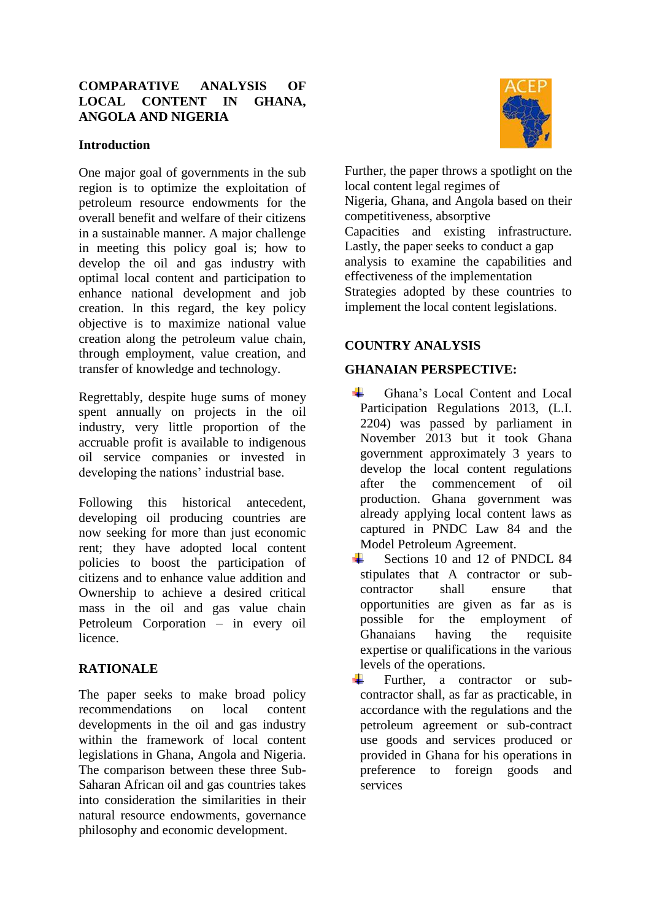## **COMPARATIVE ANALYSIS OF LOCAL CONTENT IN GHANA, ANGOLA AND NIGERIA**

### **Introduction**

One major goal of governments in the sub region is to optimize the exploitation of petroleum resource endowments for the overall benefit and welfare of their citizens in a sustainable manner. A major challenge in meeting this policy goal is; how to develop the oil and gas industry with optimal local content and participation to enhance national development and job creation. In this regard, the key policy objective is to maximize national value creation along the petroleum value chain, through employment, value creation, and transfer of knowledge and technology.

Regrettably, despite huge sums of money spent annually on projects in the oil industry, very little proportion of the accruable profit is available to indigenous oil service companies or invested in developing the nations' industrial base.

Following this historical antecedent, developing oil producing countries are now seeking for more than just economic rent; they have adopted local content policies to boost the participation of citizens and to enhance value addition and Ownership to achieve a desired critical mass in the oil and gas value chain Petroleum Corporation – in every oil licence.

### **RATIONALE**

The paper seeks to make broad policy recommendations on local content developments in the oil and gas industry within the framework of local content legislations in Ghana, Angola and Nigeria. The comparison between these three Sub-Saharan African oil and gas countries takes into consideration the similarities in their natural resource endowments, governance philosophy and economic development.



Further, the paper throws a spotlight on the local content legal regimes of Nigeria, Ghana, and Angola based on their competitiveness, absorptive Capacities and existing infrastructure. Lastly, the paper seeks to conduct a gap analysis to examine the capabilities and effectiveness of the implementation Strategies adopted by these countries to implement the local content legislations.

# **COUNTRY ANALYSIS**

## **GHANAIAN PERSPECTIVE:**

- ÷. Ghana's Local Content and Local Participation Regulations 2013, (L.I. 2204) was passed by parliament in November 2013 but it took Ghana government approximately 3 years to develop the local content regulations after the commencement of oil production. Ghana government was already applying local content laws as captured in PNDC Law 84 and the Model Petroleum Agreement.
- Sections 10 and 12 of PNDCL 84 stipulates that A contractor or subcontractor shall ensure that opportunities are given as far as is possible for the employment of Ghanaians having the requisite expertise or qualifications in the various levels of the operations.
- Further, a contractor or sub-÷ contractor shall, as far as practicable, in accordance with the regulations and the petroleum agreement or sub-contract use goods and services produced or provided in Ghana for his operations in preference to foreign goods and services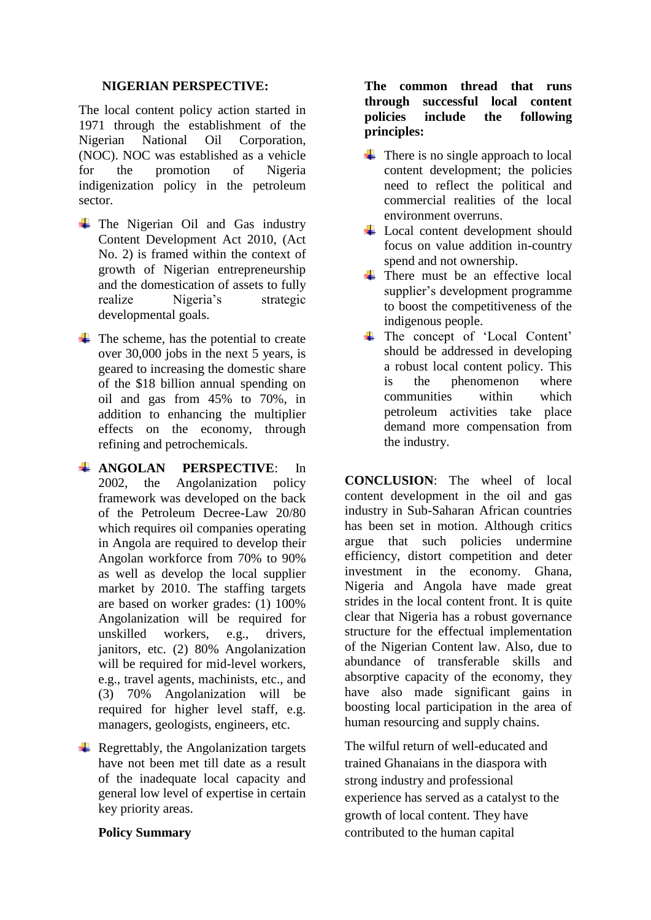### **NIGERIAN PERSPECTIVE:**

The local content policy action started in 1971 through the establishment of the Nigerian National Oil Corporation, (NOC). NOC was established as a vehicle for the promotion of Nigeria indigenization policy in the petroleum sector.

- $\div$  The Nigerian Oil and Gas industry Content Development Act 2010, (Act No. 2) is framed within the context of growth of Nigerian entrepreneurship and the domestication of assets to fully realize Nigeria's strategic developmental goals.
- $\overline{\phantom{a}}$  The scheme, has the potential to create over 30,000 jobs in the next 5 years, is geared to increasing the domestic share of the \$18 billion annual spending on oil and gas from 45% to 70%, in addition to enhancing the multiplier effects on the economy, through refining and petrochemicals.
- **ANGOLAN PERSPECTIVE**: In 2002, the Angolanization policy framework was developed on the back of the Petroleum Decree-Law 20/80 which requires oil companies operating in Angola are required to develop their Angolan workforce from 70% to 90% as well as develop the local supplier market by 2010. The staffing targets are based on worker grades: (1) 100% Angolanization will be required for unskilled workers, e.g., drivers, janitors, etc. (2) 80% Angolanization will be required for mid-level workers, e.g., travel agents, machinists, etc., and (3) 70% Angolanization will be required for higher level staff, e.g. managers, geologists, engineers, etc.
- $\overline{\phantom{a}}$  Regrettably, the Angolanization targets have not been met till date as a result of the inadequate local capacity and general low level of expertise in certain key priority areas.

### **Policy Summary**

### **The common thread that runs through successful local content policies include the following principles:**

- $\leftarrow$  There is no single approach to local content development; the policies need to reflect the political and commercial realities of the local environment overruns.
- **↓** Local content development should focus on value addition in-country spend and not ownership.
- $\overline{\phantom{a}}$  There must be an effective local supplier's development programme to boost the competitiveness of the indigenous people.
- The concept of 'Local Content' should be addressed in developing a robust local content policy. This is the phenomenon where communities within which petroleum activities take place demand more compensation from the industry.

**CONCLUSION**: The wheel of local content development in the oil and gas industry in Sub-Saharan African countries has been set in motion. Although critics argue that such policies undermine efficiency, distort competition and deter investment in the economy. Ghana, Nigeria and Angola have made great strides in the local content front. It is quite clear that Nigeria has a robust governance structure for the effectual implementation of the Nigerian Content law. Also, due to abundance of transferable skills and absorptive capacity of the economy, they have also made significant gains in boosting local participation in the area of human resourcing and supply chains.

The wilful return of well-educated and trained Ghanaians in the diaspora with strong industry and professional experience has served as a catalyst to the growth of local content. They have contributed to the human capital